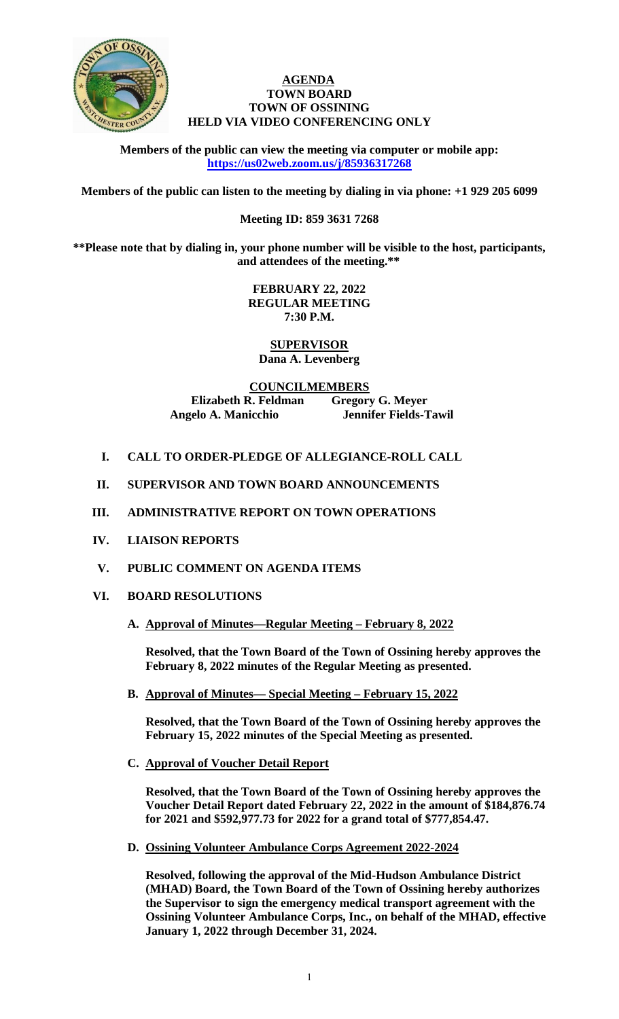

## **AGENDA TOWN BOARD TOWN OF OSSINING HELD VIA VIDEO CONFERENCING ONLY**

**Members of the public can view the meeting via computer or mobile app: <https://us02web.zoom.us/j/85936317268>**

**Members of the public can listen to the meeting by dialing in via phone: +1 929 205 6099** 

# **Meeting ID: 859 3631 7268**

**\*\*Please note that by dialing in, your phone number will be visible to the host, participants, and attendees of the meeting.\*\*** 

> **FEBRUARY 22, 2022 REGULAR MEETING 7:30 P.M.**

**SUPERVISOR Dana A. Levenberg**

**COUNCILMEMBERS Elizabeth R. Feldman Gregory G. Meyer Angelo A. Manicchio Jennifer Fields-Tawil**

- **I. CALL TO ORDER-PLEDGE OF ALLEGIANCE-ROLL CALL**
- **II. SUPERVISOR AND TOWN BOARD ANNOUNCEMENTS**
- **III. ADMINISTRATIVE REPORT ON TOWN OPERATIONS**
- **IV. LIAISON REPORTS**
- **V. PUBLIC COMMENT ON AGENDA ITEMS**

# **VI. BOARD RESOLUTIONS**

**A. Approval of Minutes—Regular Meeting – February 8, 2022**

**Resolved, that the Town Board of the Town of Ossining hereby approves the February 8, 2022 minutes of the Regular Meeting as presented.**

**B. Approval of Minutes— Special Meeting – February 15, 2022**

**Resolved, that the Town Board of the Town of Ossining hereby approves the February 15, 2022 minutes of the Special Meeting as presented.**

**C. Approval of Voucher Detail Report**

**Resolved, that the Town Board of the Town of Ossining hereby approves the Voucher Detail Report dated February 22, 2022 in the amount of \$184,876.74 for 2021 and \$592,977.73 for 2022 for a grand total of \$777,854.47.**

**D. Ossining Volunteer Ambulance Corps Agreement 2022-2024**

**Resolved, following the approval of the Mid-Hudson Ambulance District (MHAD) Board, the Town Board of the Town of Ossining hereby authorizes the Supervisor to sign the emergency medical transport agreement with the Ossining Volunteer Ambulance Corps, Inc., on behalf of the MHAD, effective January 1, 2022 through December 31, 2024.**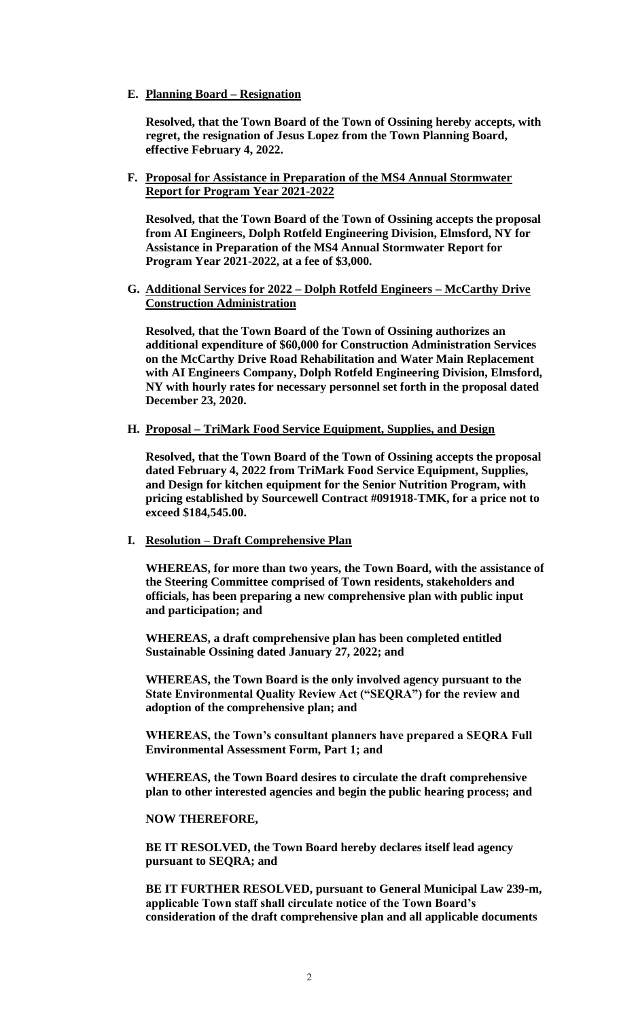**E. Planning Board – Resignation**

**Resolved, that the Town Board of the Town of Ossining hereby accepts, with regret, the resignation of Jesus Lopez from the Town Planning Board, effective February 4, 2022.** 

**F. Proposal for Assistance in Preparation of the MS4 Annual Stormwater Report for Program Year 2021-2022**

**Resolved, that the Town Board of the Town of Ossining accepts the proposal from AI Engineers, Dolph Rotfeld Engineering Division, Elmsford, NY for Assistance in Preparation of the MS4 Annual Stormwater Report for Program Year 2021-2022, at a fee of \$3,000.**

**G. Additional Services for 2022 – Dolph Rotfeld Engineers – McCarthy Drive Construction Administration**

**Resolved, that the Town Board of the Town of Ossining authorizes an additional expenditure of \$60,000 for Construction Administration Services on the McCarthy Drive Road Rehabilitation and Water Main Replacement with AI Engineers Company, Dolph Rotfeld Engineering Division, Elmsford, NY with hourly rates for necessary personnel set forth in the proposal dated December 23, 2020.** 

**H. Proposal – TriMark Food Service Equipment, Supplies, and Design**

**Resolved, that the Town Board of the Town of Ossining accepts the proposal dated February 4, 2022 from TriMark Food Service Equipment, Supplies, and Design for kitchen equipment for the Senior Nutrition Program, with pricing established by Sourcewell Contract #091918-TMK, for a price not to exceed \$184,545.00.** 

**I. Resolution – Draft Comprehensive Plan**

**WHEREAS, for more than two years, the Town Board, with the assistance of the Steering Committee comprised of Town residents, stakeholders and officials, has been preparing a new comprehensive plan with public input and participation; and** 

**WHEREAS, a draft comprehensive plan has been completed entitled Sustainable Ossining dated January 27, 2022; and**

**WHEREAS, the Town Board is the only involved agency pursuant to the State Environmental Quality Review Act ("SEQRA") for the review and adoption of the comprehensive plan; and**

**WHEREAS, the Town's consultant planners have prepared a SEQRA Full Environmental Assessment Form, Part 1; and**

**WHEREAS, the Town Board desires to circulate the draft comprehensive plan to other interested agencies and begin the public hearing process; and**

#### **NOW THEREFORE,**

**BE IT RESOLVED, the Town Board hereby declares itself lead agency pursuant to SEQRA; and**

**BE IT FURTHER RESOLVED, pursuant to General Municipal Law 239-m, applicable Town staff shall circulate notice of the Town Board's consideration of the draft comprehensive plan and all applicable documents**